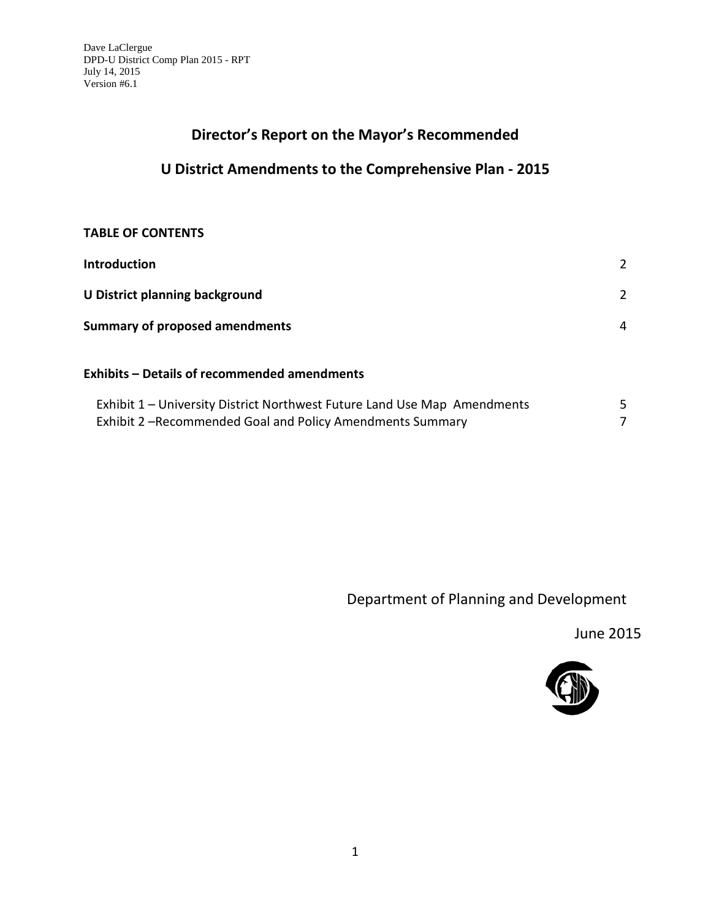### **Director's Report on the Mayor's Recommended**

### **U District Amendments to the Comprehensive Plan - 2015**

#### **TABLE OF CONTENTS**

| <b>Introduction</b>                                                      | 2  |
|--------------------------------------------------------------------------|----|
| <b>U District planning background</b>                                    | 2  |
| <b>Summary of proposed amendments</b>                                    | 4  |
| <b>Exhibits - Details of recommended amendments</b>                      |    |
| Exhibit 1 – University District Northwest Future Land Use Map Amendments | 5. |
| Exhibit 2 - Recommended Goal and Policy Amendments Summary               |    |

Department of Planning and Development

June 2015

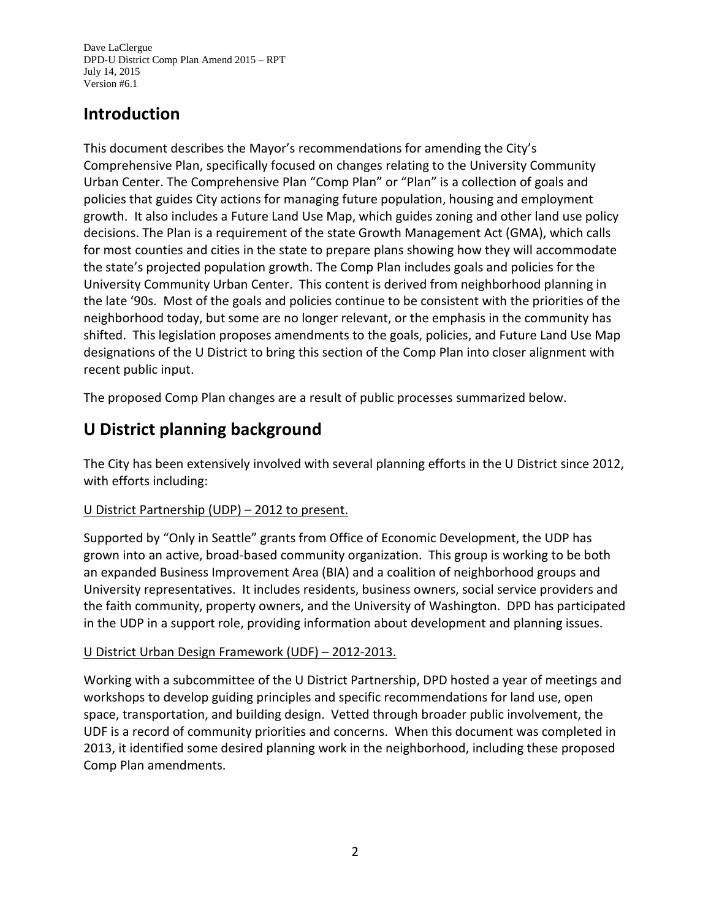### **Introduction**

This document describes the Mayor's recommendations for amending the City's Comprehensive Plan, specifically focused on changes relating to the University Community Urban Center. The Comprehensive Plan "Comp Plan" or "Plan" is a collection of goals and policies that guides City actions for managing future population, housing and employment growth. It also includes a Future Land Use Map, which guides zoning and other land use policy decisions. The Plan is a requirement of the state Growth Management Act (GMA), which calls for most counties and cities in the state to prepare plans showing how they will accommodate the state's projected population growth. The Comp Plan includes goals and policies for the University Community Urban Center. This content is derived from neighborhood planning in the late '90s. Most of the goals and policies continue to be consistent with the priorities of the neighborhood today, but some are no longer relevant, or the emphasis in the community has shifted. This legislation proposes amendments to the goals, policies, and Future Land Use Map designations of the U District to bring this section of the Comp Plan into closer alignment with recent public input.

The proposed Comp Plan changes are a result of public processes summarized below.

## **U District planning background**

The City has been extensively involved with several planning efforts in the U District since 2012, with efforts including:

#### U District Partnership (UDP) – 2012 to present.

Supported by "Only in Seattle" grants from Office of Economic Development, the UDP has grown into an active, broad-based community organization. This group is working to be both an expanded Business Improvement Area (BIA) and a coalition of neighborhood groups and University representatives. It includes residents, business owners, social service providers and the faith community, property owners, and the University of Washington. DPD has participated in the UDP in a support role, providing information about development and planning issues.

#### U District Urban Design Framework (UDF) – 2012-2013.

Working with a subcommittee of the U District Partnership, DPD hosted a year of meetings and workshops to develop guiding principles and specific recommendations for land use, open space, transportation, and building design. Vetted through broader public involvement, the UDF is a record of community priorities and concerns. When this document was completed in 2013, it identified some desired planning work in the neighborhood, including these proposed Comp Plan amendments.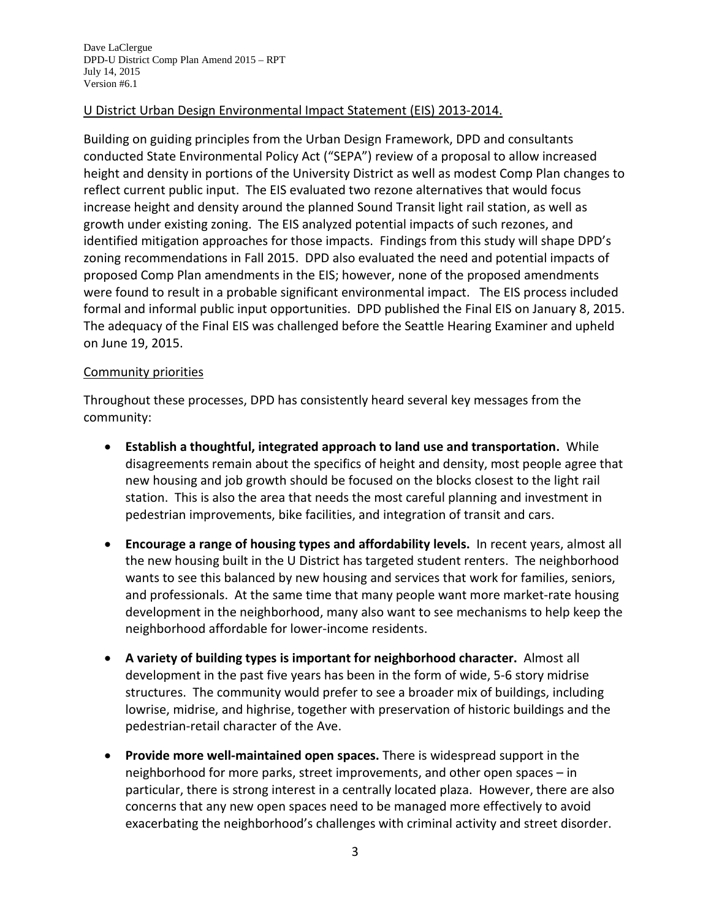#### U District Urban Design Environmental Impact Statement (EIS) 2013-2014.

Building on guiding principles from the Urban Design Framework, DPD and consultants conducted State Environmental Policy Act ("SEPA") review of a proposal to allow increased height and density in portions of the University District as well as modest Comp Plan changes to reflect current public input. The EIS evaluated two rezone alternatives that would focus increase height and density around the planned Sound Transit light rail station, as well as growth under existing zoning. The EIS analyzed potential impacts of such rezones, and identified mitigation approaches for those impacts. Findings from this study will shape DPD's zoning recommendations in Fall 2015. DPD also evaluated the need and potential impacts of proposed Comp Plan amendments in the EIS; however, none of the proposed amendments were found to result in a probable significant environmental impact. The EIS process included formal and informal public input opportunities. DPD published the Final EIS on January 8, 2015. The adequacy of the Final EIS was challenged before the Seattle Hearing Examiner and upheld on June 19, 2015.

#### Community priorities

Throughout these processes, DPD has consistently heard several key messages from the community:

- **Establish a thoughtful, integrated approach to land use and transportation.** While disagreements remain about the specifics of height and density, most people agree that new housing and job growth should be focused on the blocks closest to the light rail station. This is also the area that needs the most careful planning and investment in pedestrian improvements, bike facilities, and integration of transit and cars.
- **Encourage a range of housing types and affordability levels.** In recent years, almost all the new housing built in the U District has targeted student renters. The neighborhood wants to see this balanced by new housing and services that work for families, seniors, and professionals. At the same time that many people want more market-rate housing development in the neighborhood, many also want to see mechanisms to help keep the neighborhood affordable for lower-income residents.
- **A variety of building types is important for neighborhood character.** Almost all development in the past five years has been in the form of wide, 5-6 story midrise structures. The community would prefer to see a broader mix of buildings, including lowrise, midrise, and highrise, together with preservation of historic buildings and the pedestrian-retail character of the Ave.
- **Provide more well-maintained open spaces.** There is widespread support in the neighborhood for more parks, street improvements, and other open spaces – in particular, there is strong interest in a centrally located plaza. However, there are also concerns that any new open spaces need to be managed more effectively to avoid exacerbating the neighborhood's challenges with criminal activity and street disorder.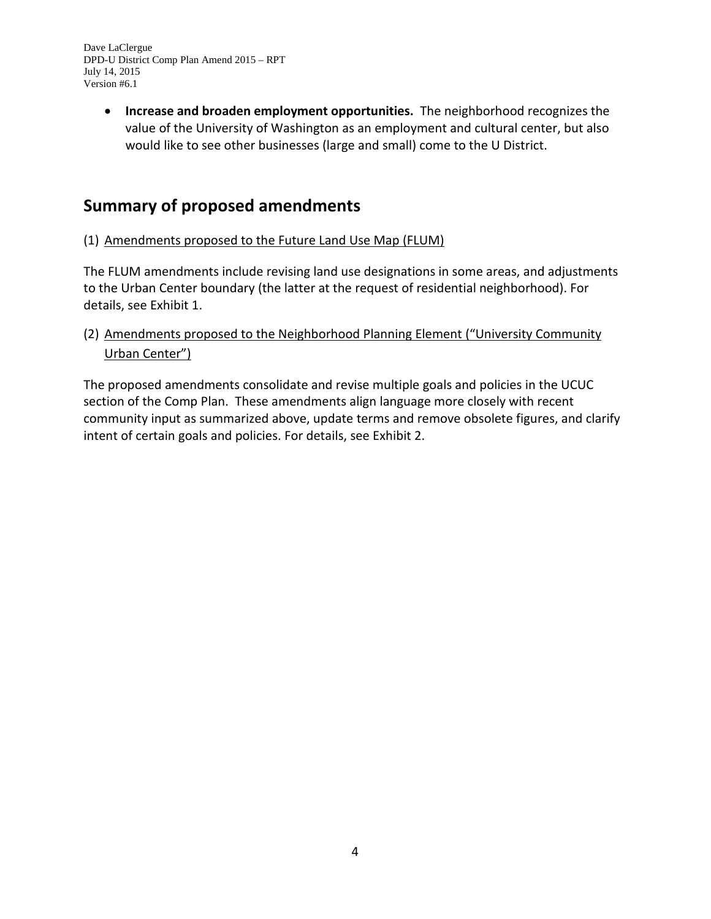> • **Increase and broaden employment opportunities.** The neighborhood recognizes the value of the University of Washington as an employment and cultural center, but also would like to see other businesses (large and small) come to the U District.

### **Summary of proposed amendments**

#### (1) Amendments proposed to the Future Land Use Map (FLUM)

The FLUM amendments include revising land use designations in some areas, and adjustments to the Urban Center boundary (the latter at the request of residential neighborhood). For details, see Exhibit 1.

(2) Amendments proposed to the Neighborhood Planning Element ("University Community Urban Center")

The proposed amendments consolidate and revise multiple goals and policies in the UCUC section of the Comp Plan. These amendments align language more closely with recent community input as summarized above, update terms and remove obsolete figures, and clarify intent of certain goals and policies. For details, see Exhibit 2.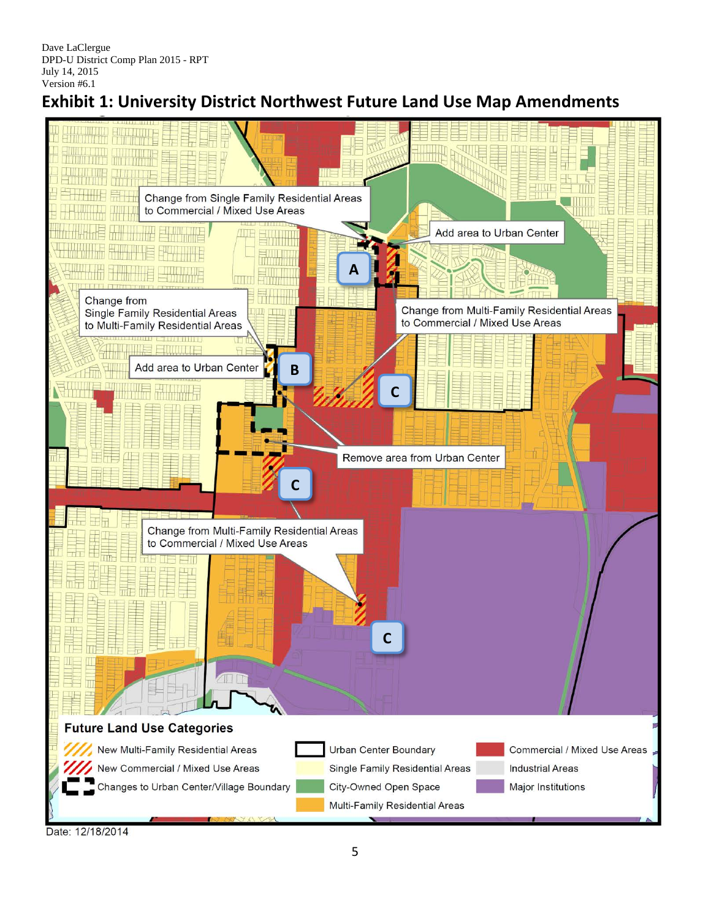## **Exhibit 1: University District Northwest Future Land Use Map Amendments**



Date: 12/18/2014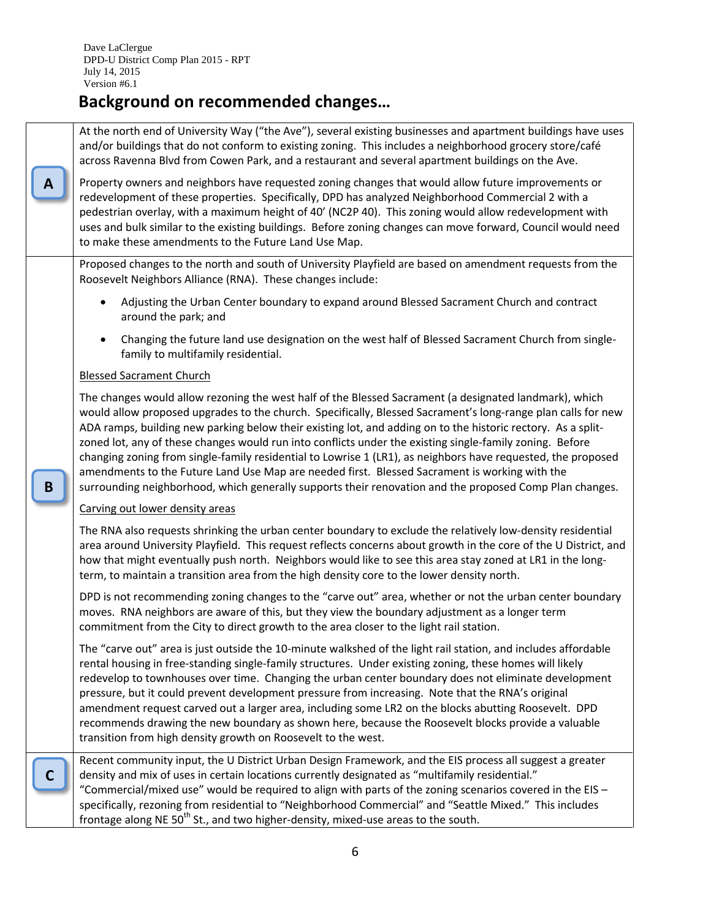# **Background on recommended changes…**

|   | At the north end of University Way ("the Ave"), several existing businesses and apartment buildings have uses<br>and/or buildings that do not conform to existing zoning. This includes a neighborhood grocery store/café<br>across Ravenna Blvd from Cowen Park, and a restaurant and several apartment buildings on the Ave.                                                                                                                                                                                                                                                                                                                                                                                                                                                 |
|---|--------------------------------------------------------------------------------------------------------------------------------------------------------------------------------------------------------------------------------------------------------------------------------------------------------------------------------------------------------------------------------------------------------------------------------------------------------------------------------------------------------------------------------------------------------------------------------------------------------------------------------------------------------------------------------------------------------------------------------------------------------------------------------|
|   | Property owners and neighbors have requested zoning changes that would allow future improvements or<br>redevelopment of these properties. Specifically, DPD has analyzed Neighborhood Commercial 2 with a<br>pedestrian overlay, with a maximum height of 40' (NC2P 40). This zoning would allow redevelopment with<br>uses and bulk similar to the existing buildings. Before zoning changes can move forward, Council would need<br>to make these amendments to the Future Land Use Map.                                                                                                                                                                                                                                                                                     |
|   | Proposed changes to the north and south of University Playfield are based on amendment requests from the<br>Roosevelt Neighbors Alliance (RNA). These changes include:                                                                                                                                                                                                                                                                                                                                                                                                                                                                                                                                                                                                         |
|   | Adjusting the Urban Center boundary to expand around Blessed Sacrament Church and contract<br>around the park; and                                                                                                                                                                                                                                                                                                                                                                                                                                                                                                                                                                                                                                                             |
|   | Changing the future land use designation on the west half of Blessed Sacrament Church from single-<br>family to multifamily residential.                                                                                                                                                                                                                                                                                                                                                                                                                                                                                                                                                                                                                                       |
|   | <b>Blessed Sacrament Church</b>                                                                                                                                                                                                                                                                                                                                                                                                                                                                                                                                                                                                                                                                                                                                                |
| B | The changes would allow rezoning the west half of the Blessed Sacrament (a designated landmark), which<br>would allow proposed upgrades to the church. Specifically, Blessed Sacrament's long-range plan calls for new<br>ADA ramps, building new parking below their existing lot, and adding on to the historic rectory. As a split-<br>zoned lot, any of these changes would run into conflicts under the existing single-family zoning. Before<br>changing zoning from single-family residential to Lowrise 1 (LR1), as neighbors have requested, the proposed<br>amendments to the Future Land Use Map are needed first. Blessed Sacrament is working with the<br>surrounding neighborhood, which generally supports their renovation and the proposed Comp Plan changes. |
|   | Carving out lower density areas                                                                                                                                                                                                                                                                                                                                                                                                                                                                                                                                                                                                                                                                                                                                                |
|   | The RNA also requests shrinking the urban center boundary to exclude the relatively low-density residential<br>area around University Playfield. This request reflects concerns about growth in the core of the U District, and<br>how that might eventually push north. Neighbors would like to see this area stay zoned at LR1 in the long-<br>term, to maintain a transition area from the high density core to the lower density north.                                                                                                                                                                                                                                                                                                                                    |
|   | DPD is not recommending zoning changes to the "carve out" area, whether or not the urban center boundary<br>moves. RNA neighbors are aware of this, but they view the boundary adjustment as a longer term<br>commitment from the City to direct growth to the area closer to the light rail station.                                                                                                                                                                                                                                                                                                                                                                                                                                                                          |
|   | The "carve out" area is just outside the 10-minute walkshed of the light rail station, and includes affordable<br>rental housing in free-standing single-family structures. Under existing zoning, these homes will likely<br>redevelop to townhouses over time. Changing the urban center boundary does not eliminate development<br>pressure, but it could prevent development pressure from increasing. Note that the RNA's original<br>amendment request carved out a larger area, including some LR2 on the blocks abutting Roosevelt. DPD<br>recommends drawing the new boundary as shown here, because the Roosevelt blocks provide a valuable<br>transition from high density growth on Roosevelt to the west.                                                         |
|   | Recent community input, the U District Urban Design Framework, and the EIS process all suggest a greater<br>density and mix of uses in certain locations currently designated as "multifamily residential."<br>"Commercial/mixed use" would be required to align with parts of the zoning scenarios covered in the EIS -<br>specifically, rezoning from residential to "Neighborhood Commercial" and "Seattle Mixed." This includes<br>frontage along NE 50 <sup>th</sup> St., and two higher-density, mixed-use areas to the south.                                                                                                                                                                                                                                           |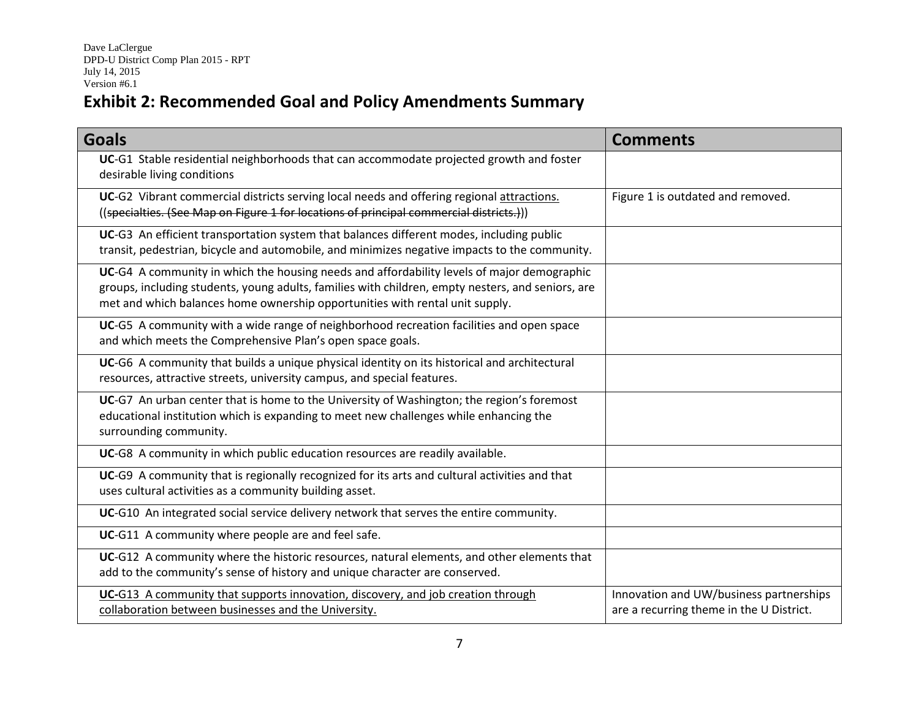# **Exhibit 2: Recommended Goal and Policy Amendments Summary**

| <b>Goals</b>                                                                                                                                                                                                                                                                           | <b>Comments</b>                                                                     |
|----------------------------------------------------------------------------------------------------------------------------------------------------------------------------------------------------------------------------------------------------------------------------------------|-------------------------------------------------------------------------------------|
| UC-G1 Stable residential neighborhoods that can accommodate projected growth and foster<br>desirable living conditions                                                                                                                                                                 |                                                                                     |
| UC-G2 Vibrant commercial districts serving local needs and offering regional attractions.<br>((specialties. (See Map on Figure 1 for locations of principal commercial districts.)))                                                                                                   | Figure 1 is outdated and removed.                                                   |
| UC-G3 An efficient transportation system that balances different modes, including public<br>transit, pedestrian, bicycle and automobile, and minimizes negative impacts to the community.                                                                                              |                                                                                     |
| <b>UC-G4</b> A community in which the housing needs and affordability levels of major demographic<br>groups, including students, young adults, families with children, empty nesters, and seniors, are<br>met and which balances home ownership opportunities with rental unit supply. |                                                                                     |
| UC-G5 A community with a wide range of neighborhood recreation facilities and open space<br>and which meets the Comprehensive Plan's open space goals.                                                                                                                                 |                                                                                     |
| UC-G6 A community that builds a unique physical identity on its historical and architectural<br>resources, attractive streets, university campus, and special features.                                                                                                                |                                                                                     |
| UC-G7 An urban center that is home to the University of Washington; the region's foremost<br>educational institution which is expanding to meet new challenges while enhancing the<br>surrounding community.                                                                           |                                                                                     |
| UC-G8 A community in which public education resources are readily available.                                                                                                                                                                                                           |                                                                                     |
| UC-G9 A community that is regionally recognized for its arts and cultural activities and that<br>uses cultural activities as a community building asset.                                                                                                                               |                                                                                     |
| UC-G10 An integrated social service delivery network that serves the entire community.                                                                                                                                                                                                 |                                                                                     |
| UC-G11 A community where people are and feel safe.                                                                                                                                                                                                                                     |                                                                                     |
| UC-G12 A community where the historic resources, natural elements, and other elements that<br>add to the community's sense of history and unique character are conserved.                                                                                                              |                                                                                     |
| UC-G13 A community that supports innovation, discovery, and job creation through<br>collaboration between businesses and the University.                                                                                                                                               | Innovation and UW/business partnerships<br>are a recurring theme in the U District. |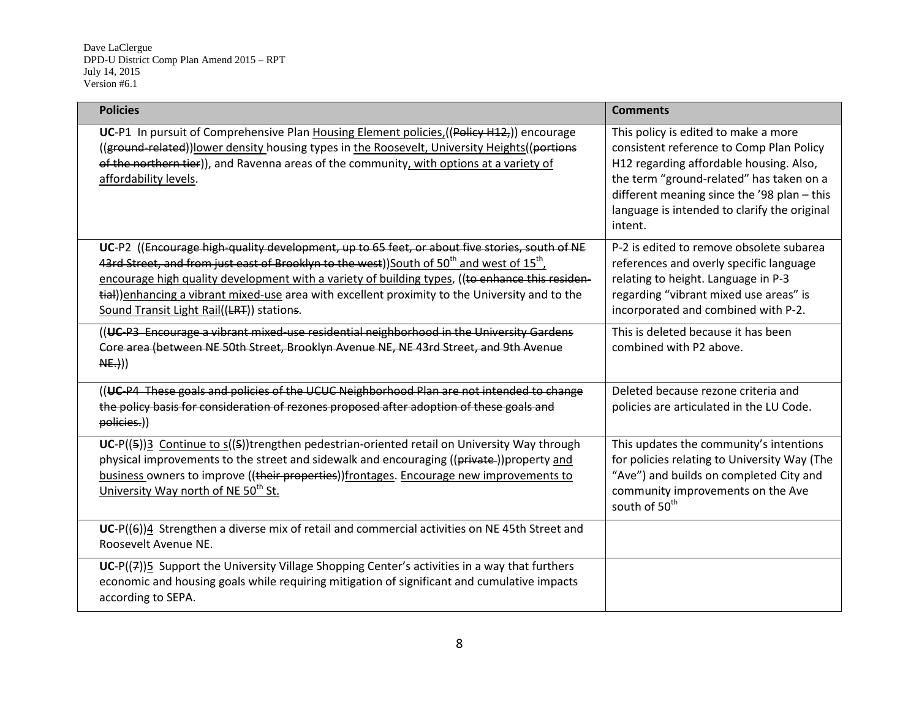| <b>Policies</b>                                                                                                                                                                                                                                                                                                                                                                                                                                                       | <b>Comments</b>                                                                                                                                                                                                                                                                   |
|-----------------------------------------------------------------------------------------------------------------------------------------------------------------------------------------------------------------------------------------------------------------------------------------------------------------------------------------------------------------------------------------------------------------------------------------------------------------------|-----------------------------------------------------------------------------------------------------------------------------------------------------------------------------------------------------------------------------------------------------------------------------------|
| UC-P1 In pursuit of Comprehensive Plan Housing Element policies, ((Policy H12,)) encourage<br>((ground-related))lower density housing types in the Roosevelt, University Heights((portions<br>of the northern tier)), and Ravenna areas of the community, with options at a variety of<br>affordability levels.                                                                                                                                                       | This policy is edited to make a more<br>consistent reference to Comp Plan Policy<br>H12 regarding affordable housing. Also,<br>the term "ground-related" has taken on a<br>different meaning since the '98 plan - this<br>language is intended to clarify the original<br>intent. |
| UC-P2 ((Encourage high-quality development, up to 65 feet, or about five stories, south of NE<br>43rd Street, and from just east of Brooklyn to the west))South of 50 <sup>th</sup> and west of 15 <sup>th</sup> ,<br>encourage high quality development with a variety of building types, ((to enhance this residen-<br>tial)) enhancing a vibrant mixed-use area with excellent proximity to the University and to the<br>Sound Transit Light Rail((LRT)) stations. | P-2 is edited to remove obsolete subarea<br>references and overly specific language<br>relating to height. Language in P-3<br>regarding "vibrant mixed use areas" is<br>incorporated and combined with P-2.                                                                       |
| ((UC-P3 Encourage a vibrant mixed-use residential neighborhood in the University Gardens<br>Core area (between NE 50th Street, Brooklyn Avenue NE, NE 43rd Street, and 9th Avenue<br>N(E.)                                                                                                                                                                                                                                                                            | This is deleted because it has been<br>combined with P2 above.                                                                                                                                                                                                                    |
| ((UC P4 These goals and policies of the UCUC Neighborhood Plan are not intended to change<br>the policy basis for consideration of rezones proposed after adoption of these goals and<br>policies.))                                                                                                                                                                                                                                                                  | Deleted because rezone criteria and<br>policies are articulated in the LU Code.                                                                                                                                                                                                   |
| $UC-P(\frac{5}{3})$ Continue to $s(\frac{5}{5})$ trengthen pedestrian-oriented retail on University Way through<br>physical improvements to the street and sidewalk and encouraging ((private-))property and<br>business owners to improve ((their properties))frontages. Encourage new improvements to<br>University Way north of NE 50 <sup>th</sup> St.                                                                                                            | This updates the community's intentions<br>for policies relating to University Way (The<br>"Ave") and builds on completed City and<br>community improvements on the Ave<br>south of 50 <sup>th</sup>                                                                              |
| $UC-P((6))$ <sup>4</sup> Strengthen a diverse mix of retail and commercial activities on NE 45th Street and<br>Roosevelt Avenue NE.                                                                                                                                                                                                                                                                                                                                   |                                                                                                                                                                                                                                                                                   |
| UC-P((7))5 Support the University Village Shopping Center's activities in a way that furthers<br>economic and housing goals while requiring mitigation of significant and cumulative impacts<br>according to SEPA.                                                                                                                                                                                                                                                    |                                                                                                                                                                                                                                                                                   |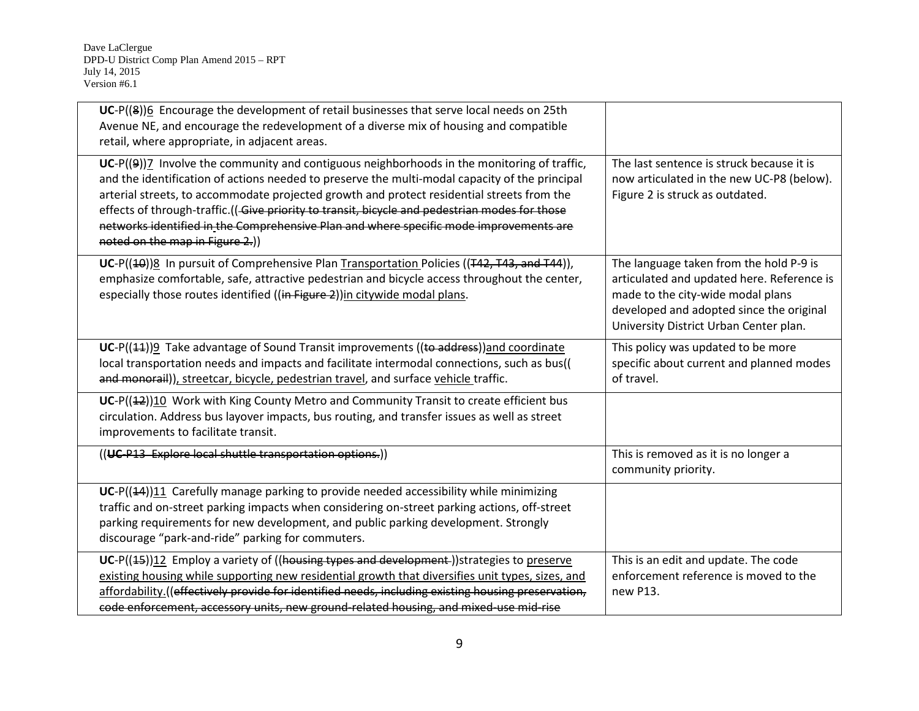| UC-P((8))6 Encourage the development of retail businesses that serve local needs on 25th<br>Avenue NE, and encourage the redevelopment of a diverse mix of housing and compatible<br>retail, where appropriate, in adjacent areas.                                                                                                                                                                                                                                                                                          |                                                                                                                                                                                                                  |
|-----------------------------------------------------------------------------------------------------------------------------------------------------------------------------------------------------------------------------------------------------------------------------------------------------------------------------------------------------------------------------------------------------------------------------------------------------------------------------------------------------------------------------|------------------------------------------------------------------------------------------------------------------------------------------------------------------------------------------------------------------|
| $UC-P((9))Z$ Involve the community and contiguous neighborhoods in the monitoring of traffic,<br>and the identification of actions needed to preserve the multi-modal capacity of the principal<br>arterial streets, to accommodate projected growth and protect residential streets from the<br>effects of through-traffic.((Give priority to transit, bicycle and pedestrian modes for those<br>networks identified in the Comprehensive Plan and where specific mode improvements are<br>noted on the map in Figure 2.)) | The last sentence is struck because it is<br>now articulated in the new UC-P8 (below).<br>Figure 2 is struck as outdated.                                                                                        |
| UC-P((10))8 In pursuit of Comprehensive Plan Transportation Policies ((T42, T43, and T44)),<br>emphasize comfortable, safe, attractive pedestrian and bicycle access throughout the center,<br>especially those routes identified ((in Figure 2)) in citywide modal plans.                                                                                                                                                                                                                                                  | The language taken from the hold P-9 is<br>articulated and updated here. Reference is<br>made to the city-wide modal plans<br>developed and adopted since the original<br>University District Urban Center plan. |
| UC-P((11))9 Take advantage of Sound Transit improvements ((to address)) and coordinate<br>local transportation needs and impacts and facilitate intermodal connections, such as bus((<br>and monorail)), streetcar, bicycle, pedestrian travel, and surface vehicle traffic.                                                                                                                                                                                                                                                | This policy was updated to be more<br>specific about current and planned modes<br>of travel.                                                                                                                     |
| UC-P((12))10 Work with King County Metro and Community Transit to create efficient bus<br>circulation. Address bus layover impacts, bus routing, and transfer issues as well as street<br>improvements to facilitate transit.                                                                                                                                                                                                                                                                                               |                                                                                                                                                                                                                  |
| ((UC-P13 Explore local shuttle transportation options.))                                                                                                                                                                                                                                                                                                                                                                                                                                                                    | This is removed as it is no longer a<br>community priority.                                                                                                                                                      |
| UC-P((14))11 Carefully manage parking to provide needed accessibility while minimizing<br>traffic and on-street parking impacts when considering on-street parking actions, off-street<br>parking requirements for new development, and public parking development. Strongly<br>discourage "park-and-ride" parking for commuters.                                                                                                                                                                                           |                                                                                                                                                                                                                  |
| UC-P((45))12 Employ a variety of ((housing types and development-))strategies to preserve<br>existing housing while supporting new residential growth that diversifies unit types, sizes, and<br>affordability.((effectively provide for identified needs, including existing housing preservation,<br>code enforcement, accessory units, new ground related housing, and mixed use mid rise                                                                                                                                | This is an edit and update. The code<br>enforcement reference is moved to the<br>new P13.                                                                                                                        |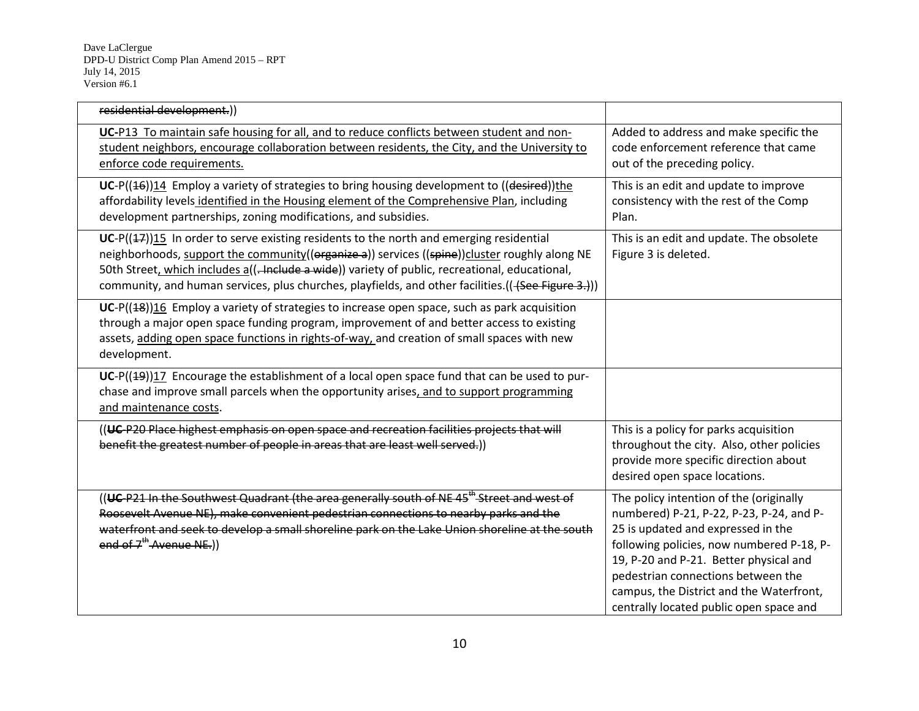| residential development.))                                                                                                                                                                                                                                                                                                                                                                          |                                                                                                                                                                                                                                                                                                                                               |
|-----------------------------------------------------------------------------------------------------------------------------------------------------------------------------------------------------------------------------------------------------------------------------------------------------------------------------------------------------------------------------------------------------|-----------------------------------------------------------------------------------------------------------------------------------------------------------------------------------------------------------------------------------------------------------------------------------------------------------------------------------------------|
| UC-P13 To maintain safe housing for all, and to reduce conflicts between student and non-<br>student neighbors, encourage collaboration between residents, the City, and the University to<br>enforce code requirements.                                                                                                                                                                            | Added to address and make specific the<br>code enforcement reference that came<br>out of the preceding policy.                                                                                                                                                                                                                                |
| UC-P( $(16)$ )14 Employ a variety of strategies to bring housing development to ((desired))the<br>affordability levels identified in the Housing element of the Comprehensive Plan, including<br>development partnerships, zoning modifications, and subsidies.                                                                                                                                     | This is an edit and update to improve<br>consistency with the rest of the Comp<br>Plan.                                                                                                                                                                                                                                                       |
| $UC-P((1-7))15$ In order to serve existing residents to the north and emerging residential<br>neighborhoods, support the community((organize a)) services ((spine))cluster roughly along NE<br>50th Street, which includes a((-lnclude a wide)) variety of public, recreational, educational,<br>community, and human services, plus churches, playfields, and other facilities.((-See Figure 3.))) | This is an edit and update. The obsolete<br>Figure 3 is deleted.                                                                                                                                                                                                                                                                              |
| $UC-P((18))16$ Employ a variety of strategies to increase open space, such as park acquisition<br>through a major open space funding program, improvement of and better access to existing<br>assets, adding open space functions in rights-of-way, and creation of small spaces with new<br>development.                                                                                           |                                                                                                                                                                                                                                                                                                                                               |
| $UC-P((19))17$ Encourage the establishment of a local open space fund that can be used to pur-<br>chase and improve small parcels when the opportunity arises, and to support programming<br>and maintenance costs.                                                                                                                                                                                 |                                                                                                                                                                                                                                                                                                                                               |
| ((UC P20 Place highest emphasis on open space and recreation facilities projects that will<br>benefit the greatest number of people in areas that are least well served.))                                                                                                                                                                                                                          | This is a policy for parks acquisition<br>throughout the city. Also, other policies<br>provide more specific direction about<br>desired open space locations.                                                                                                                                                                                 |
| ((UC-P21 In the Southwest Quadrant (the area generally south of NE 45 <sup>th</sup> Street and west of<br>Roosevelt Avenue NE), make convenient pedestrian connections to nearby parks and the<br>waterfront and seek to develop a small shoreline park on the Lake Union shoreline at the south<br>end of 7 <sup>th</sup> Avenue NE.))                                                             | The policy intention of the (originally<br>numbered) P-21, P-22, P-23, P-24, and P-<br>25 is updated and expressed in the<br>following policies, now numbered P-18, P-<br>19, P-20 and P-21. Better physical and<br>pedestrian connections between the<br>campus, the District and the Waterfront,<br>centrally located public open space and |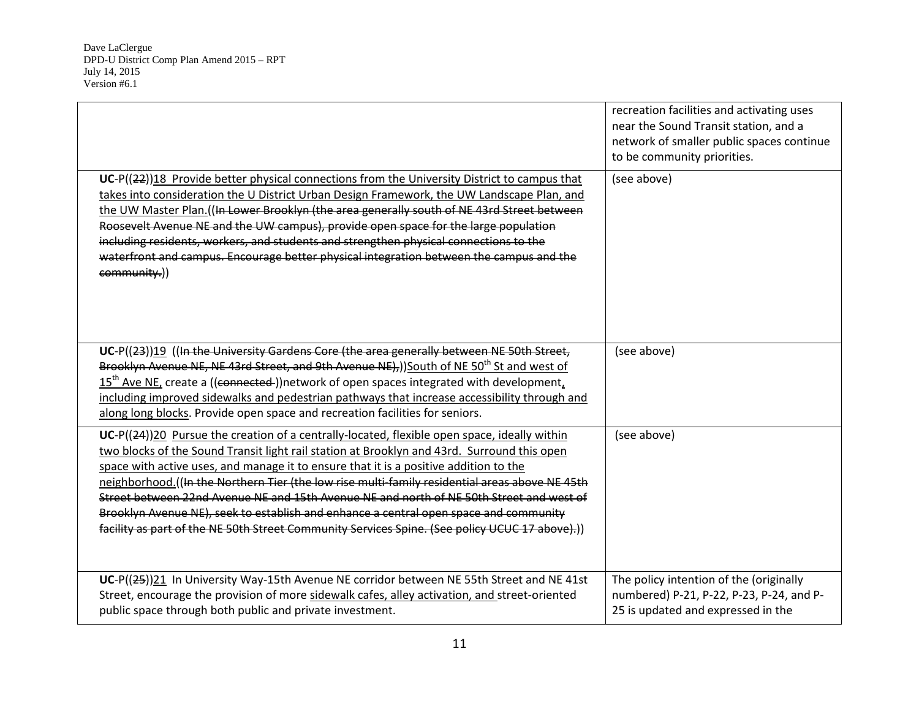|                                                                                                                                                                                                                                                                                                                                                                                                                                                                                                                                                                                                                                                                               | recreation facilities and activating uses<br>near the Sound Transit station, and a<br>network of smaller public spaces continue<br>to be community priorities. |
|-------------------------------------------------------------------------------------------------------------------------------------------------------------------------------------------------------------------------------------------------------------------------------------------------------------------------------------------------------------------------------------------------------------------------------------------------------------------------------------------------------------------------------------------------------------------------------------------------------------------------------------------------------------------------------|----------------------------------------------------------------------------------------------------------------------------------------------------------------|
| UC-P((22))18 Provide better physical connections from the University District to campus that<br>takes into consideration the U District Urban Design Framework, the UW Landscape Plan, and<br>the UW Master Plan.((In Lower Brooklyn (the area generally south of NE 43rd Street between<br>Roosevelt Avenue NE and the UW campus), provide open space for the large population<br>including residents, workers, and students and strengthen physical connections to the<br>waterfront and campus. Encourage better physical integration between the campus and the<br>community.))                                                                                           | (see above)                                                                                                                                                    |
| UC-P((23))19 ((In the University Gardens Core (the area generally between NE 50th Street,<br>Brooklyn Avenue NE, NE 43rd Street, and 9th Avenue NE),))South of NE 50 <sup>th</sup> St and west of<br>$15th$ Ave NE, create a ((connected-)) network of open spaces integrated with development,<br>including improved sidewalks and pedestrian pathways that increase accessibility through and<br>along long blocks. Provide open space and recreation facilities for seniors.                                                                                                                                                                                               | (see above)                                                                                                                                                    |
| UC-P((24))20 Pursue the creation of a centrally-located, flexible open space, ideally within<br>two blocks of the Sound Transit light rail station at Brooklyn and 43rd. Surround this open<br>space with active uses, and manage it to ensure that it is a positive addition to the<br>neighborhood.((In the Northern Tier (the low rise multi-family residential areas above NE 45th<br>Street between 22nd Avenue NE and 15th Avenue NE and north of NE 50th Street and west of<br>Brooklyn Avenue NE), seek to establish and enhance a central open space and community<br>facility as part of the NE 50th Street Community Services Spine. (See policy UCUC 17 above).)) | (see above)                                                                                                                                                    |
| UC-P((25))21 In University Way-15th Avenue NE corridor between NE 55th Street and NE 41st<br>Street, encourage the provision of more sidewalk cafes, alley activation, and street-oriented<br>public space through both public and private investment.                                                                                                                                                                                                                                                                                                                                                                                                                        | The policy intention of the (originally<br>numbered) P-21, P-22, P-23, P-24, and P-<br>25 is updated and expressed in the                                      |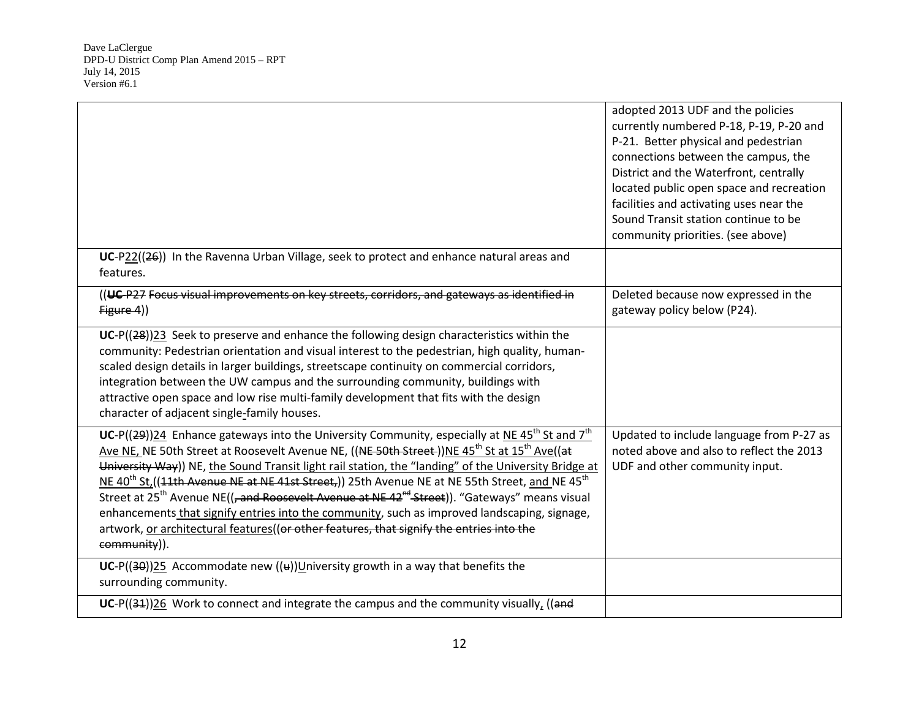|                                                                                                                                                                                                                                                                                                                                                                                                                                                                                                                                                                                                                                                                                                                                                                                                                                              | adopted 2013 UDF and the policies<br>currently numbered P-18, P-19, P-20 and<br>P-21. Better physical and pedestrian<br>connections between the campus, the<br>District and the Waterfront, centrally<br>located public open space and recreation<br>facilities and activating uses near the |
|----------------------------------------------------------------------------------------------------------------------------------------------------------------------------------------------------------------------------------------------------------------------------------------------------------------------------------------------------------------------------------------------------------------------------------------------------------------------------------------------------------------------------------------------------------------------------------------------------------------------------------------------------------------------------------------------------------------------------------------------------------------------------------------------------------------------------------------------|----------------------------------------------------------------------------------------------------------------------------------------------------------------------------------------------------------------------------------------------------------------------------------------------|
|                                                                                                                                                                                                                                                                                                                                                                                                                                                                                                                                                                                                                                                                                                                                                                                                                                              | Sound Transit station continue to be<br>community priorities. (see above)                                                                                                                                                                                                                    |
| UC-P22((26)) In the Ravenna Urban Village, seek to protect and enhance natural areas and<br>features.                                                                                                                                                                                                                                                                                                                                                                                                                                                                                                                                                                                                                                                                                                                                        |                                                                                                                                                                                                                                                                                              |
| ((UC-P27 Focus visual improvements on key streets, corridors, and gateways as identified in<br>Figure 4))                                                                                                                                                                                                                                                                                                                                                                                                                                                                                                                                                                                                                                                                                                                                    | Deleted because now expressed in the<br>gateway policy below (P24).                                                                                                                                                                                                                          |
| $UC-P((28))23$ Seek to preserve and enhance the following design characteristics within the<br>community: Pedestrian orientation and visual interest to the pedestrian, high quality, human-<br>scaled design details in larger buildings, streetscape continuity on commercial corridors,<br>integration between the UW campus and the surrounding community, buildings with<br>attractive open space and low rise multi-family development that fits with the design<br>character of adjacent single-family houses.                                                                                                                                                                                                                                                                                                                        |                                                                                                                                                                                                                                                                                              |
| UC-P((29))24 Enhance gateways into the University Community, especially at NE 45 <sup>th</sup> St and 7 <sup>th</sup><br>Ave NE, NE 50th Street at Roosevelt Avenue NE, ((NE 50th Street))NE 45 <sup>th</sup> St at 15 <sup>th</sup> Ave((at<br>University Way)) NE, the Sound Transit light rail station, the "landing" of the University Bridge at<br>NE 40 <sup>th</sup> St <sub>1</sub> ((11th Avenue NE at NE 41st Street,)) 25th Avenue NE at NE 55th Street, and NE 45 <sup>th</sup><br>Street at 25 <sup>th</sup> Avenue NE(( <del>, and Roosevelt Avenue at NE 42<sup>nd</sup> Street</del> )). "Gateways" means visual<br>enhancements that signify entries into the community, such as improved landscaping, signage,<br>artwork, or architectural features((or other features, that signify the entries into the<br>community)). | Updated to include language from P-27 as<br>noted above and also to reflect the 2013<br>UDF and other community input.                                                                                                                                                                       |
| UC-P( $(30)$ )25 Accommodate new ( $(u)$ )University growth in a way that benefits the<br>surrounding community.                                                                                                                                                                                                                                                                                                                                                                                                                                                                                                                                                                                                                                                                                                                             |                                                                                                                                                                                                                                                                                              |
| UC-P((34))26 Work to connect and integrate the campus and the community visually, ((and                                                                                                                                                                                                                                                                                                                                                                                                                                                                                                                                                                                                                                                                                                                                                      |                                                                                                                                                                                                                                                                                              |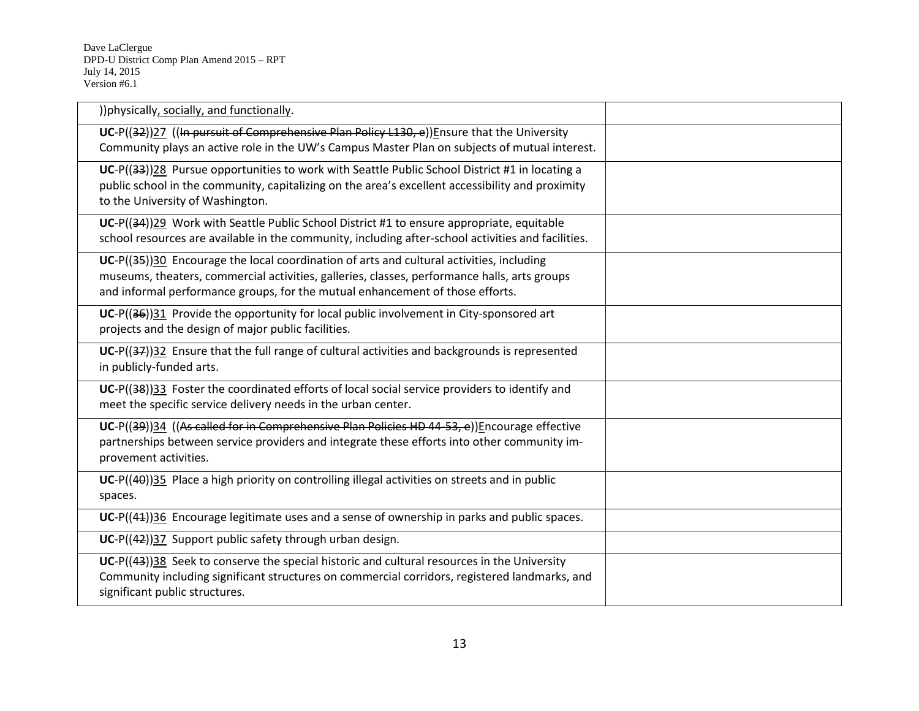| ))physically, socially, and functionally.                                                                                                                                                                                                                                 |  |
|---------------------------------------------------------------------------------------------------------------------------------------------------------------------------------------------------------------------------------------------------------------------------|--|
| UC-P((32))27 ((In pursuit of Comprehensive Plan Policy L130, e)) Ensure that the University<br>Community plays an active role in the UW's Campus Master Plan on subjects of mutual interest.                                                                              |  |
| UC-P((33))28 Pursue opportunities to work with Seattle Public School District #1 in locating a<br>public school in the community, capitalizing on the area's excellent accessibility and proximity<br>to the University of Washington.                                    |  |
| UC-P((34))29 Work with Seattle Public School District #1 to ensure appropriate, equitable<br>school resources are available in the community, including after-school activities and facilities.                                                                           |  |
| UC-P((35))30 Encourage the local coordination of arts and cultural activities, including<br>museums, theaters, commercial activities, galleries, classes, performance halls, arts groups<br>and informal performance groups, for the mutual enhancement of those efforts. |  |
| UC-P((36))31 Provide the opportunity for local public involvement in City-sponsored art<br>projects and the design of major public facilities.                                                                                                                            |  |
| $UC-P((37))32$ Ensure that the full range of cultural activities and backgrounds is represented<br>in publicly-funded arts.                                                                                                                                               |  |
| UC-P((38))33 Foster the coordinated efforts of local social service providers to identify and<br>meet the specific service delivery needs in the urban center.                                                                                                            |  |
| UC-P((39))34 ((As called for in Comprehensive Plan Policies HD 44-53, e))Encourage effective<br>partnerships between service providers and integrate these efforts into other community im-<br>provement activities.                                                      |  |
| $UC-P((49))35$ Place a high priority on controlling illegal activities on streets and in public<br>spaces.                                                                                                                                                                |  |
| $UC-P((44))$ 36 Encourage legitimate uses and a sense of ownership in parks and public spaces.                                                                                                                                                                            |  |
| UC-P((42))37 Support public safety through urban design.                                                                                                                                                                                                                  |  |
| $UC-P((43))38$ Seek to conserve the special historic and cultural resources in the University<br>Community including significant structures on commercial corridors, registered landmarks, and<br>significant public structures.                                          |  |